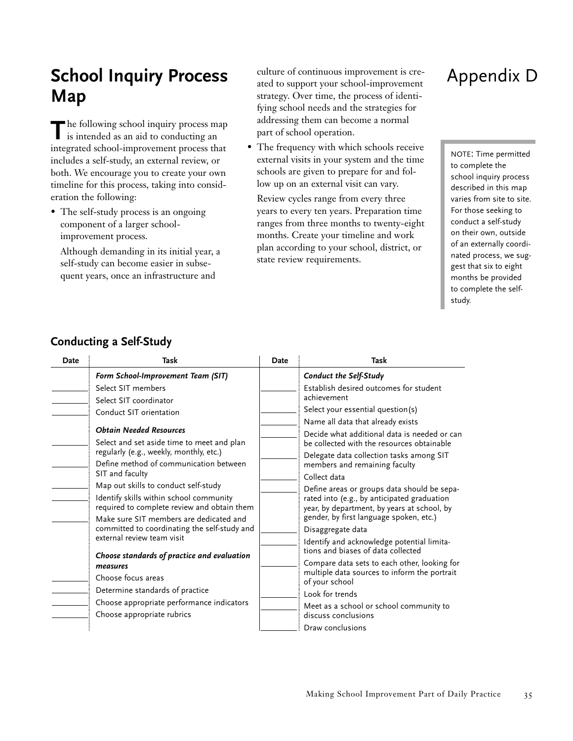## **School Inquiry Process Map**

**T** he following school inquiry process map is intended as an aid to conducting an integrated school-improvement process that includes a self-study, an external review, or both. We encourage you to create your own timeline for this process, taking into consideration the following:

• The self-study process is an ongoing component of a larger schoolimprovement process.

Although demanding in its initial year, a self-study can become easier in subsequent years, once an infrastructure and

culture of continuous improvement is created to support your school-improvement strategy. Over time, the process of identifying school needs and the strategies for addressing them can become a normal part of school operation.

• The frequency with which schools receive external visits in your system and the time schools are given to prepare for and follow up on an external visit can vary.

Review cycles range from every three years to every ten years. Preparation time ranges from three months to twenty-eight months. Create your timeline and work plan according to your school, district, or state review requirements.

## Appendix D

NOTE: Time permitted to complete the school inquiry process described in this map varies from site to site. For those seeking to conduct a self-study on their own, outside of an externally coordinated process, we suggest that six to eight months be provided to complete the selfstudy.

| Date | Task                                                                                                                                                                                                                                                                                                                                  | Date | Task                                                                                                                                                                                                                                                                                                                                                                            |
|------|---------------------------------------------------------------------------------------------------------------------------------------------------------------------------------------------------------------------------------------------------------------------------------------------------------------------------------------|------|---------------------------------------------------------------------------------------------------------------------------------------------------------------------------------------------------------------------------------------------------------------------------------------------------------------------------------------------------------------------------------|
|      | Form School-Improvement Team (SIT)                                                                                                                                                                                                                                                                                                    |      | Conduct the Self-Study                                                                                                                                                                                                                                                                                                                                                          |
|      | Select SIT members                                                                                                                                                                                                                                                                                                                    |      | Establish desired outcomes for student                                                                                                                                                                                                                                                                                                                                          |
|      | Select SIT coordinator                                                                                                                                                                                                                                                                                                                |      | achievement                                                                                                                                                                                                                                                                                                                                                                     |
|      | Conduct SIT orientation                                                                                                                                                                                                                                                                                                               |      | Select your essential question(s)                                                                                                                                                                                                                                                                                                                                               |
|      | <b>Ohtain Needed Resources</b><br>Select and set aside time to meet and plan<br>regularly (e.g., weekly, monthly, etc.)<br>Define method of communication between<br>SIT and faculty<br>Map out skills to conduct self-study<br>Identify skills within school community                                                               |      | Name all data that already exists<br>Decide what additional data is needed or can<br>be collected with the resources obtainable<br>Delegate data collection tasks among SIT<br>members and remaining faculty<br>Collect data<br>Define areas or groups data should be sepa-<br>rated into (e.g., by anticipated graduation                                                      |
|      | required to complete review and obtain them<br>Make sure SIT members are dedicated and<br>committed to coordinating the self-study and<br>external review team visit<br>Choose standards of practice and evaluation<br>measures<br>Choose focus areas<br>Determine standards of practice<br>Choose appropriate performance indicators |      | year, by department, by years at school, by<br>gender, by first language spoken, etc.)<br>Disaggregate data<br>Identify and acknowledge potential limita-<br>tions and biases of data collected<br>Compare data sets to each other, looking for<br>multiple data sources to inform the portrait<br>of your school<br>Look for trends<br>Meet as a school or school community to |
|      | Choose appropriate rubrics                                                                                                                                                                                                                                                                                                            |      | discuss conclusions<br>Draw conclusions                                                                                                                                                                                                                                                                                                                                         |

## **Conducting a Self-Study**